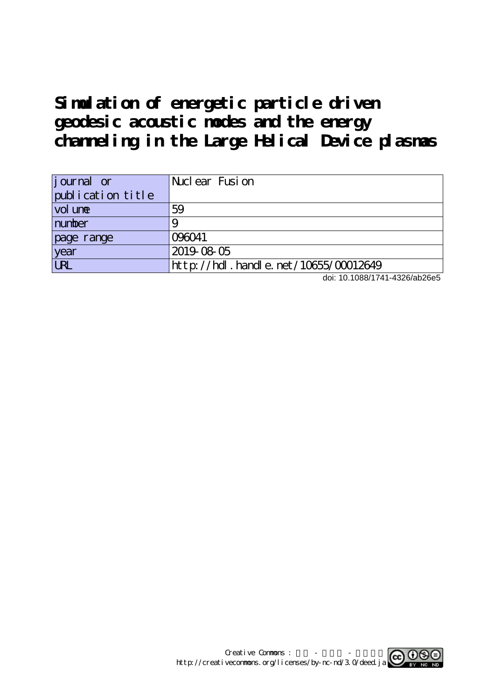# **Simulation of energetic particle driven geodesic acoustic modes and the energy channeling in the Large Helical Device plasmas**

| journal or        | Nuclear Fusion                            |
|-------------------|-------------------------------------------|
| publication title |                                           |
| vol une           | 59                                        |
| number            |                                           |
| page range        | 096041                                    |
| year              | 2019-08-05                                |
| <b>URL</b>        | $http$ ://hdl. handle. net/10655/00012649 |

doi: 10.1088/1741-4326/ab26e5

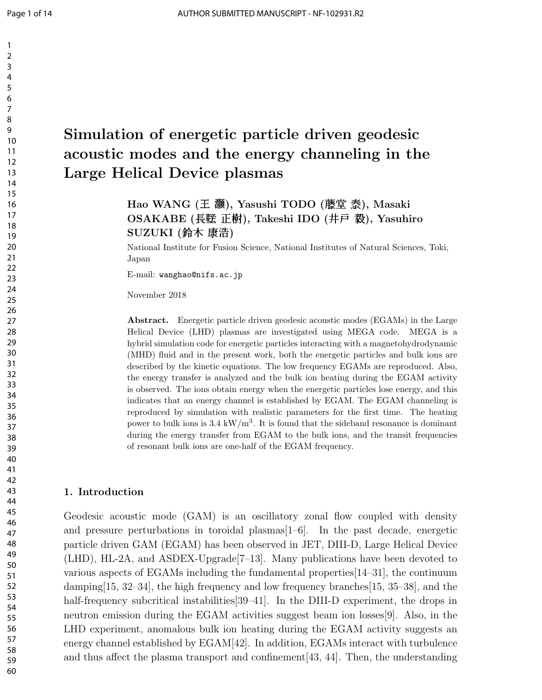## Simulation of energetic particle driven geodesic acoustic modes and the energy channeling in the Large Helical Device plasmas

### Hao WANG (王 灏), Yasushi TODO (藤堂 泰), Masaki OSAKABE (長壁 正樹), Takeshi IDO (井戸 毅), Yasuhiro SUZUKI (鈴木 康浩)

National Institute for Fusion Science, National Institutes of Natural Sciences, Toki, Japan

E-mail: wanghao@nifs.ac.jp

November 2018

Abstract. Energetic particle driven geodesic acoustic modes (EGAMs) in the Large Helical Device (LHD) plasmas are investigated using MEGA code. MEGA is a hybrid simulation code for energetic particles interacting with a magnetohydrodynamic (MHD) fluid and in the present work, both the energetic particles and bulk ions are described by the kinetic equations. The low frequency EGAMs are reproduced. Also, the energy transfer is analyzed and the bulk ion heating during the EGAM activity is observed. The ions obtain energy when the energetic particles lose energy, and this indicates that an energy channel is established by EGAM. The EGAM channeling is reproduced by simulation with realistic parameters for the first time. The heating power to bulk ions is  $3.4 \text{ kW/m}^3$ . It is found that the sideband resonance is dominant during the energy transfer from EGAM to the bulk ions, and the transit frequencies of resonant bulk ions are one-half of the EGAM frequency.

#### 1. Introduction

Geodesic acoustic mode (GAM) is an oscillatory zonal flow coupled with density and pressure perturbations in toroidal plasmas $[1-6]$ . In the past decade, energetic particle driven GAM (EGAM) has been observed in JET, DIII-D, Large Helical Device (LHD), HL-2A, and ASDEX-Upgrade[7–13]. Many publications have been devoted to various aspects of EGAMs including the fundamental properties[14–31], the continuum damping  $[15, 32-34]$ , the high frequency and low frequency branches  $[15, 35-38]$ , and the half-frequency subcritical instabilities [39–41]. In the DIII-D experiment, the drops in neutron emission during the EGAM activities suggest beam ion losses[9]. Also, in the LHD experiment, anomalous bulk ion heating during the EGAM activity suggests an energy channel established by EGAM[42]. In addition, EGAMs interact with turbulence and thus affect the plasma transport and confinement  $[43, 44]$ . Then, the understanding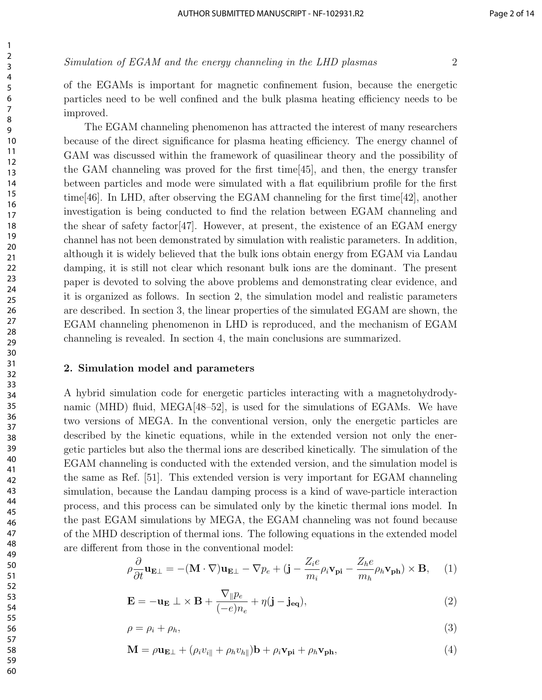of the EGAMs is important for magnetic confinement fusion, because the energetic particles need to be well confined and the bulk plasma heating efficiency needs to be improved.

The EGAM channeling phenomenon has attracted the interest of many researchers because of the direct significance for plasma heating efficiency. The energy channel of GAM was discussed within the framework of quasilinear theory and the possibility of the GAM channeling was proved for the first time[45], and then, the energy transfer between particles and mode were simulated with a flat equilibrium profile for the first time[46]. In LHD, after observing the EGAM channeling for the first time[42], another investigation is being conducted to find the relation between EGAM channeling and the shear of safety factor  $[47]$ . However, at present, the existence of an EGAM energy channel has not been demonstrated by simulation with realistic parameters. In addition, although it is widely believed that the bulk ions obtain energy from EGAM via Landau damping, it is still not clear which resonant bulk ions are the dominant. The present paper is devoted to solving the above problems and demonstrating clear evidence, and it is organized as follows. In section 2, the simulation model and realistic parameters are described. In section 3, the linear properties of the simulated EGAM are shown, the EGAM channeling phenomenon in LHD is reproduced, and the mechanism of EGAM channeling is revealed. In section 4, the main conclusions are summarized.

#### 2. Simulation model and parameters

A hybrid simulation code for energetic particles interacting with a magnetohydrodynamic (MHD) fluid, MEGA $[48-52]$ , is used for the simulations of EGAMs. We have two versions of MEGA. In the conventional version, only the energetic particles are described by the kinetic equations, while in the extended version not only the energetic particles but also the thermal ions are described kinetically. The simulation of the EGAM channeling is conducted with the extended version, and the simulation model is the same as Ref. [51]. This extended version is very important for EGAM channeling simulation, because the Landau damping process is a kind of wave-particle interaction process, and this process can be simulated only by the kinetic thermal ions model. In the past EGAM simulations by MEGA, the EGAM channeling was not found because of the MHD description of thermal ions. The following equations in the extended model are different from those in the conventional model:

$$
\rho \frac{\partial}{\partial t} \mathbf{u}_{\mathbf{E}\perp} = -(\mathbf{M} \cdot \nabla) \mathbf{u}_{\mathbf{E}\perp} - \nabla p_e + (\mathbf{j} - \frac{Z_i e}{m_i} \rho_i \mathbf{v}_{\mathbf{pi}} - \frac{Z_h e}{m_h} \rho_h \mathbf{v}_{\mathbf{ph}}) \times \mathbf{B}, \quad (1)
$$

$$
\mathbf{E} = -\mathbf{u}_{\mathbf{E}} \perp \times \mathbf{B} + \frac{\nabla_{\parallel} p_e}{(-e) n_e} + \eta (\mathbf{j} - \mathbf{j}_{\mathbf{eq}}),
$$
\n(2)

$$
\rho = \rho_i + \rho_h,\tag{3}
$$

$$
\mathbf{M} = \rho \mathbf{u}_{\mathbf{E}\perp} + (\rho_i v_{i\parallel} + \rho_h v_{h\parallel}) \mathbf{b} + \rho_i \mathbf{v}_{\mathbf{p}i} + \rho_h \mathbf{v}_{\mathbf{p}h},\tag{4}
$$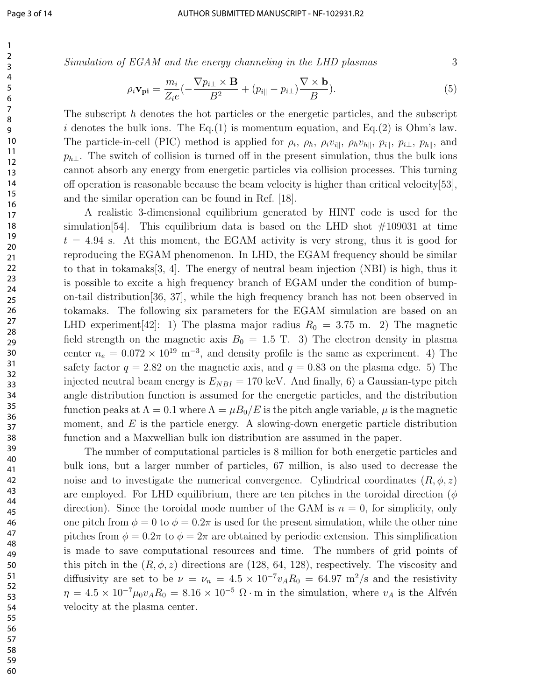Simulation of EGAM and the energy channeling in the LHD plasmas 3

$$
\rho_i \mathbf{v}_{\mathbf{pi}} = \frac{m_i}{Z_i e} \left( -\frac{\nabla p_{i\perp} \times \mathbf{B}}{B^2} + (p_{i\parallel} - p_{i\perp}) \frac{\nabla \times \mathbf{b}}{B} \right).
$$
(5)

The subscript h denotes the hot particles or the energetic particles, and the subscript i denotes the bulk ions. The Eq.(1) is momentum equation, and Eq.(2) is Ohm's law. The particle-in-cell (PIC) method is applied for  $\rho_i$ ,  $\rho_h$ ,  $\rho_i v_{i\parallel}$ ,  $\rho_h v_{h\parallel}$ ,  $p_{i\parallel}$ ,  $p_{i\perp}$ ,  $p_{h\parallel}$ , and  $p_{h\perp}$ . The switch of collision is turned off in the present simulation, thus the bulk ions cannot absorb any energy from energetic particles via collision processes. This turning off operation is reasonable because the beam velocity is higher than critical velocity[53], and the similar operation can be found in Ref. [18].

A realistic 3-dimensional equilibrium generated by HINT code is used for the simulation [54]. This equilibrium data is based on the LHD shot  $\#109031$  at time  $t = 4.94$  s. At this moment, the EGAM activity is very strong, thus it is good for reproducing the EGAM phenomenon. In LHD, the EGAM frequency should be similar to that in tokamaks[3, 4]. The energy of neutral beam injection (NBI) is high, thus it is possible to excite a high frequency branch of EGAM under the condition of bumpon-tail distribution[36, 37], while the high frequency branch has not been observed in tokamaks. The following six parameters for the EGAM simulation are based on an LHD experiment [42]: 1) The plasma major radius  $R_0 = 3.75$  m. 2) The magnetic field strength on the magnetic axis  $B_0 = 1.5$  T. 3) The electron density in plasma center  $n_e = 0.072 \times 10^{19} \text{ m}^{-3}$ , and density profile is the same as experiment. 4) The safety factor  $q = 2.82$  on the magnetic axis, and  $q = 0.83$  on the plasma edge. 5) The injected neutral beam energy is  $E_{NBI} = 170$  keV. And finally, 6) a Gaussian-type pitch angle distribution function is assumed for the energetic particles, and the distribution function peaks at  $\Lambda = 0.1$  where  $\Lambda = \mu B_0/E$  is the pitch angle variable,  $\mu$  is the magnetic moment, and  $E$  is the particle energy. A slowing-down energetic particle distribution function and a Maxwellian bulk ion distribution are assumed in the paper.

The number of computational particles is 8 million for both energetic particles and bulk ions, but a larger number of particles, 67 million, is also used to decrease the noise and to investigate the numerical convergence. Cylindrical coordinates  $(R, \phi, z)$ are employed. For LHD equilibrium, there are ten pitches in the toroidal direction ( $\phi$ direction). Since the toroidal mode number of the GAM is  $n = 0$ , for simplicity, only one pitch from  $\phi = 0$  to  $\phi = 0.2\pi$  is used for the present simulation, while the other nine pitches from  $\phi = 0.2\pi$  to  $\phi = 2\pi$  are obtained by periodic extension. This simplification is made to save computational resources and time. The numbers of grid points of this pitch in the  $(R, \phi, z)$  directions are (128, 64, 128), respectively. The viscosity and diffusivity are set to be  $\nu = \nu_n = 4.5 \times 10^{-7} v_A R_0 = 64.97 \text{ m}^2/\text{s}$  and the resistivity  $\eta = 4.5 \times 10^{-7} \mu_0 v_A R_0 = 8.16 \times 10^{-5} \Omega \cdot m$  in the simulation, where  $v_A$  is the Alfvén velocity at the plasma center.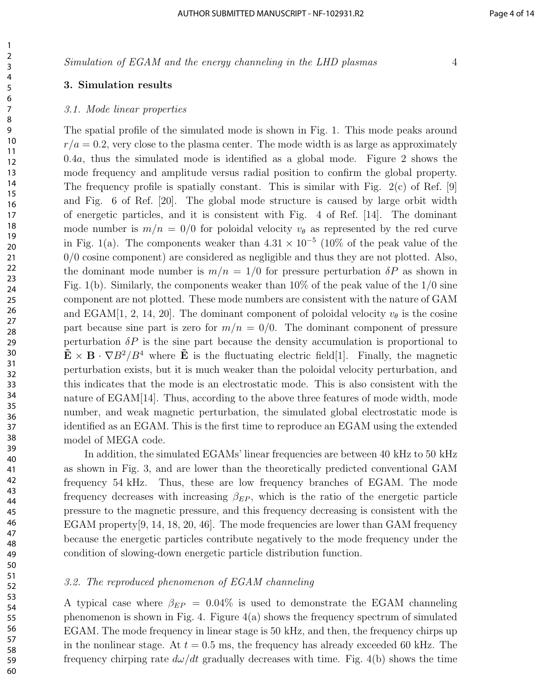#### 3. Simulation results

#### 3.1. Mode linear properties

The spatial profile of the simulated mode is shown in Fig. 1. This mode peaks around  $r/a = 0.2$ , very close to the plasma center. The mode width is as large as approximately .4a, thus the simulated mode is identified as a global mode. Figure 2 shows the mode frequency and amplitude versus radial position to confirm the global property. The frequency profile is spatially constant. This is similar with Fig.  $2(c)$  of Ref. [9] and Fig. 6 of Ref. [20]. The global mode structure is caused by large orbit width of energetic particles, and it is consistent with Fig. 4 of Ref. [14]. The dominant mode number is  $m/n = 0/0$  for poloidal velocity  $v_{\theta}$  as represented by the red curve in Fig. 1(a). The components weaker than  $4.31 \times 10^{-5}$  (10% of the peak value of the 0/0 cosine component) are considered as negligible and thus they are not plotted. Also, the dominant mode number is  $m/n = 1/0$  for pressure perturbation  $\delta P$  as shown in Fig. 1(b). Similarly, the components weaker than  $10\%$  of the peak value of the  $1/0$  sine component are not plotted. These mode numbers are consistent with the nature of GAM and EGAM[1, 2, 14, 20]. The dominant component of poloidal velocity  $v_{\theta}$  is the cosine part because sine part is zero for  $m/n = 0/0$ . The dominant component of pressure perturbation  $\delta P$  is the sine part because the density accumulation is proportional to  $\tilde{\mathbf{E}} \times \mathbf{B} \cdot \nabla B^2/B^4$  where  $\tilde{\mathbf{E}}$  is the fluctuating electric field[1]. Finally, the magnetic perturbation exists, but it is much weaker than the poloidal velocity perturbation, and this indicates that the mode is an electrostatic mode. This is also consistent with the nature of EGAM[14]. Thus, according to the above three features of mode width, mode number, and weak magnetic perturbation, the simulated global electrostatic mode is identified as an EGAM. This is the first time to reproduce an EGAM using the extended model of MEGA code.

In addition, the simulated EGAMs' linear frequencies are between 40 kHz to 50 kHz as shown in Fig. 3, and are lower than the theoretically predicted conventional GAM frequency 54 kHz. Thus, these are low frequency branches of EGAM. The mode frequency decreases with increasing  $\beta_{EP}$ , which is the ratio of the energetic particle pressure to the magnetic pressure, and this frequency decreasing is consistent with the EGAM property<sup>[9, 14, 18, 20, 46].</sup> The mode frequencies are lower than GAM frequency because the energetic particles contribute negatively to the mode frequency under the condition of slowing-down energetic particle distribution function.

#### 3.2. The reproduced phenomenon of EGAM channeling

A typical case where  $\beta_{EP} = 0.04\%$  is used to demonstrate the EGAM channeling phenomenon is shown in Fig. 4. Figure 4(a) shows the frequency spectrum of simulated EGAM. The mode frequency in linear stage is 50 kHz, and then, the frequency chirps up in the nonlinear stage. At  $t = 0.5$  ms, the frequency has already exceeded 60 kHz. The frequency chirping rate  $d\omega/dt$  gradually decreases with time. Fig. 4(b) shows the time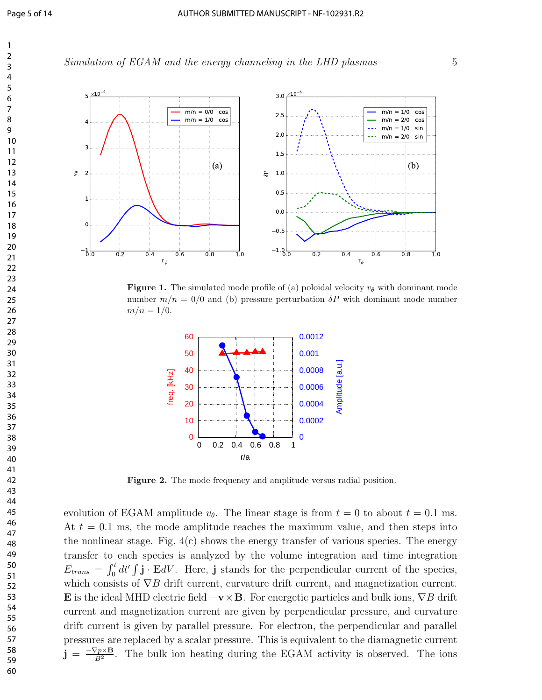Simulation of EGAM and the energy channeling in the LHD plasmas 5



**Figure 1.** The simulated mode profile of (a) poloidal velocity  $v_{\theta}$  with dominant mode number  $m/n = 0/0$  and (b) pressure perturbation  $\delta P$  with dominant mode number  $m/n = 1/0.$ 



Figure 2. The mode frequency and amplitude versus radial position.

evolution of EGAM amplitude  $v_{\theta}$ . The linear stage is from  $t = 0$  to about  $t = 0.1$  ms. At  $t = 0.1$  ms, the mode amplitude reaches the maximum value, and then steps into the nonlinear stage. Fig.  $4(c)$  shows the energy transfer of various species. The energy transfer to each species is analyzed by the volume integration and time integration  $E_{trans} = \int_0^t dt' \int \mathbf{j} \cdot \mathbf{E} dV$ . Here, j stands for the perpendicular current of the species, which consists of  $\nabla B$  drift current, curvature drift current, and magnetization current. E is the ideal MHD electric field  $-\mathbf{v}\times\mathbf{B}$ . For energetic particles and bulk ions,  $\nabla B$  drift current and magnetization current are given by perpendicular pressure, and curvature drift current is given by parallel pressure. For electron, the perpendicular and parallel pressures are replaced by a scalar pressure. This is equivalent to the diamagnetic current  $\mathrm{\mathbf{j}} \, = \, \frac{-\nabla p \times \mathbf{B}}{B^2}$  $\frac{\sqrt{p \times B}}{B^2}$ . The bulk ion heating during the EGAM activity is observed. The ions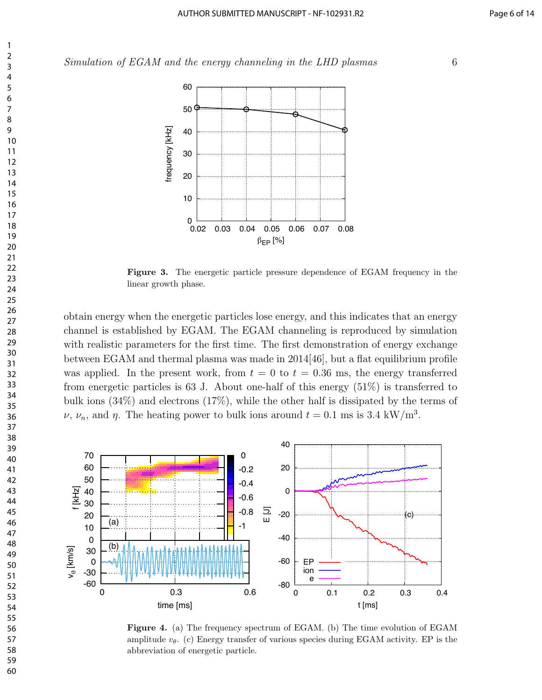

Figure 3. The energetic particle pressure dependence of EGAM frequency in the linear growth phase.

obtain energy when the energetic particles lose energy, and this indicates that an energy channel is established by EGAM. The EGAM channeling is reproduced by simulation with realistic parameters for the first time. The first demonstration of energy exchange between EGAM and thermal plasma was made in 2014[46], but a flat equilibrium profile was applied. In the present work, from  $t = 0$  to  $t = 0.36$  ms, the energy transferred from energetic particles is 63 J. About one-half of this energy  $(51\%)$  is transferred to bulk ions (34%) and electrons (17%), while the other half is dissipated by the terms of  $\nu$ ,  $\nu_n$ , and  $\eta$ . The heating power to bulk ions around  $t = 0.1$  ms is 3.4 kW/m<sup>3</sup>.



Figure 4. (a) The frequency spectrum of EGAM. (b) The time evolution of EGAM amplitude  $v_{\theta}$ . (c) Energy transfer of various species during EGAM activity. EP is the abbreviation of energetic particle.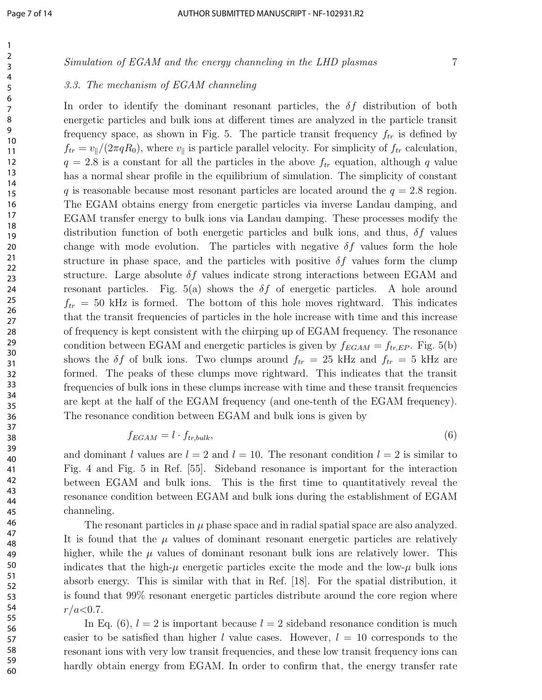#### 3.3. The mechanism of EGAM channeling

In order to identify the dominant resonant particles, the  $\delta f$  distribution of both energetic particles and bulk ions at different times are analyzed in the particle transit frequency space, as shown in Fig. 5. The particle transit frequency  $f_{tr}$  is defined by  $f_{tr} = v_{\parallel}/(2\pi qR_0)$ , where  $v_{\parallel}$  is particle parallel velocity. For simplicity of  $f_{tr}$  calculation,  $q = 2.8$  is a constant for all the particles in the above  $f_{tr}$  equation, although q value has a normal shear profile in the equilibrium of simulation. The simplicity of constant q is reasonable because most resonant particles are located around the  $q = 2.8$  region. The EGAM obtains energy from energetic particles via inverse Landau damping, and EGAM transfer energy to bulk ions via Landau damping. These processes modify the distribution function of both energetic particles and bulk ions, and thus,  $\delta f$  values change with mode evolution. The particles with negative  $\delta f$  values form the hole structure in phase space, and the particles with positive  $\delta f$  values form the clump structure. Large absolute  $\delta f$  values indicate strong interactions between EGAM and resonant particles. Fig. 5(a) shows the  $\delta f$  of energetic particles. A hole around  $f_{tr} = 50$  kHz is formed. The bottom of this hole moves rightward. This indicates that the transit frequencies of particles in the hole increase with time and this increase of frequency is kept consistent with the chirping up of EGAM frequency. The resonance condition between EGAM and energetic particles is given by  $f_{EGAM} = f_{tr,EP}$ . Fig. 5(b) shows the  $\delta f$  of bulk ions. Two clumps around  $f_{tr} = 25$  kHz and  $f_{tr} = 5$  kHz are formed. The peaks of these clumps move rightward. This indicates that the transit frequencies of bulk ions in these clumps increase with time and these transit frequencies are kept at the half of the EGAM frequency (and one-tenth of the EGAM frequency). The resonance condition between EGAM and bulk ions is given by

$$
f_{EGAM} = l \cdot f_{tr,bulk},\tag{6}
$$

and dominant l values are  $l = 2$  and  $l = 10$ . The resonant condition  $l = 2$  is similar to Fig. 4 and Fig. 5 in Ref. [55]. Sideband resonance is important for the interaction between EGAM and bulk ions. This is the first time to quantitatively reveal the resonance condition between EGAM and bulk ions during the establishment of EGAM channeling.

The resonant particles in  $\mu$  phase space and in radial spatial space are also analyzed. It is found that the  $\mu$  values of dominant resonant energetic particles are relatively higher, while the  $\mu$  values of dominant resonant bulk ions are relatively lower. This indicates that the high- $\mu$  energetic particles excite the mode and the low- $\mu$  bulk ions absorb energy. This is similar with that in Ref. [18]. For the spatial distribution, it is found that 99% resonant energetic particles distribute around the core region where  $r/a < 0.7$ .

In Eq. (6),  $l = 2$  is important because  $l = 2$  sideband resonance condition is much easier to be satisfied than higher l value cases. However,  $l = 10$  corresponds to the resonant ions with very low transit frequencies, and these low transit frequency ions can hardly obtain energy from EGAM. In order to confirm that, the energy transfer rate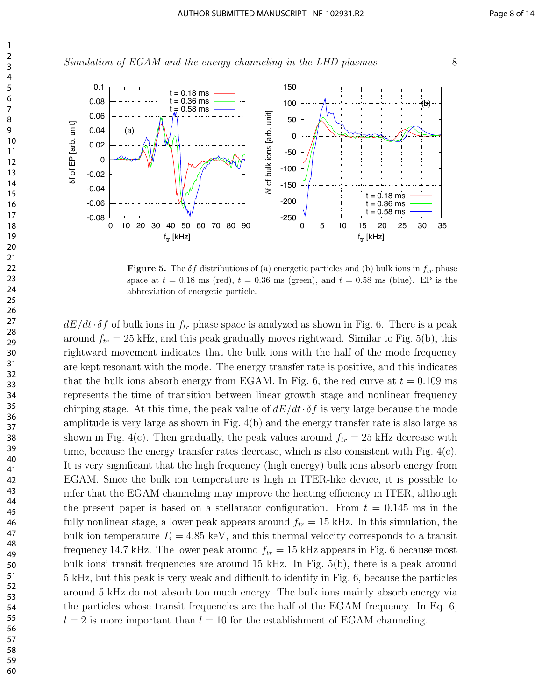



**Figure 5.** The  $\delta f$  distributions of (a) energetic particles and (b) bulk ions in  $f_{tr}$  phase space at  $t = 0.18$  ms (red),  $t = 0.36$  ms (green), and  $t = 0.58$  ms (blue). EP is the abbreviation of energetic particle.

 $dE/dt \cdot \delta f$  of bulk ions in  $f_{tr}$  phase space is analyzed as shown in Fig. 6. There is a peak around  $f_{tr} = 25$  kHz, and this peak gradually moves rightward. Similar to Fig. 5(b), this rightward movement indicates that the bulk ions with the half of the mode frequency are kept resonant with the mode. The energy transfer rate is positive, and this indicates that the bulk ions absorb energy from EGAM. In Fig. 6, the red curve at  $t = 0.109$  ms represents the time of transition between linear growth stage and nonlinear frequency chirping stage. At this time, the peak value of  $dE/dt \cdot \delta f$  is very large because the mode amplitude is very large as shown in Fig. 4(b) and the energy transfer rate is also large as shown in Fig. 4(c). Then gradually, the peak values around  $f_{tr} = 25$  kHz decrease with time, because the energy transfer rates decrease, which is also consistent with Fig. 4(c). It is very significant that the high frequency (high energy) bulk ions absorb energy from EGAM. Since the bulk ion temperature is high in ITER-like device, it is possible to infer that the EGAM channeling may improve the heating efficiency in ITER, although the present paper is based on a stellarator configuration. From  $t = 0.145$  ms in the fully nonlinear stage, a lower peak appears around  $f_{tr} = 15$  kHz. In this simulation, the bulk ion temperature  $T_i = 4.85 \text{ keV}$ , and this thermal velocity corresponds to a transit frequency 14.7 kHz. The lower peak around  $f_{tr} = 15$  kHz appears in Fig. 6 because most bulk ions' transit frequencies are around 15 kHz. In Fig. 5(b), there is a peak around 5 kHz, but this peak is very weak and difficult to identify in Fig. 6, because the particles around 5 kHz do not absorb too much energy. The bulk ions mainly absorb energy via the particles whose transit frequencies are the half of the EGAM frequency. In Eq. 6,  $l = 2$  is more important than  $l = 10$  for the establishment of EGAM channeling.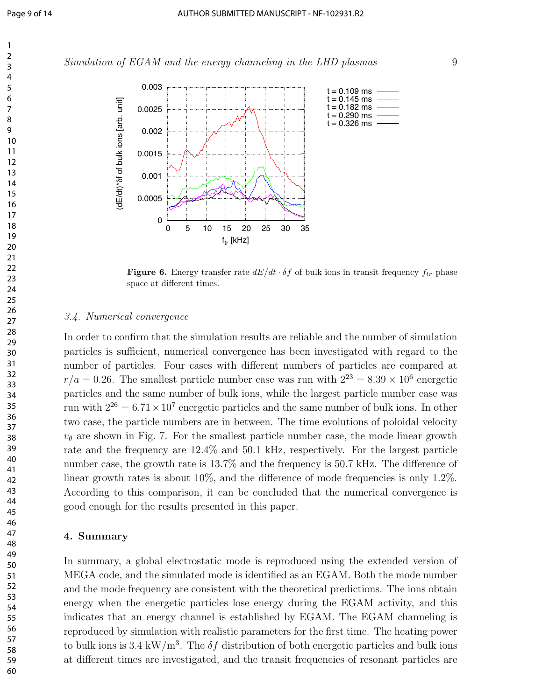Simulation of EGAM and the energy channeling in the LHD plasmas 9



**Figure 6.** Energy transfer rate  $dE/dt \cdot \delta f$  of bulk ions in transit frequency  $f_{tr}$  phase space at different times.

#### 3.4. Numerical convergence

In order to confirm that the simulation results are reliable and the number of simulation particles is sufficient, numerical convergence has been investigated with regard to the number of particles. Four cases with different numbers of particles are compared at  $r/a = 0.26$ . The smallest particle number case was run with  $2^{23} = 8.39 \times 10^6$  energetic particles and the same number of bulk ions, while the largest particle number case was run with  $2^{26} = 6.71 \times 10^7$  energetic particles and the same number of bulk ions. In other two case, the particle numbers are in between. The time evolutions of poloidal velocity  $v_{\theta}$  are shown in Fig. 7. For the smallest particle number case, the mode linear growth rate and the frequency are 12.4% and 50.1 kHz, respectively. For the largest particle number case, the growth rate is 13.7% and the frequency is 50.7 kHz. The difference of linear growth rates is about  $10\%$ , and the difference of mode frequencies is only 1.2%. According to this comparison, it can be concluded that the numerical convergence is good enough for the results presented in this paper.

#### 4. Summary

In summary, a global electrostatic mode is reproduced using the extended version of MEGA code, and the simulated mode is identified as an EGAM. Both the mode number and the mode frequency are consistent with the theoretical predictions. The ions obtain energy when the energetic particles lose energy during the EGAM activity, and this indicates that an energy channel is established by EGAM. The EGAM channeling is reproduced by simulation with realistic parameters for the first time. The heating power to bulk ions is 3.4 kW/m<sup>3</sup>. The  $\delta f$  distribution of both energetic particles and bulk ions at different times are investigated, and the transit frequencies of resonant particles are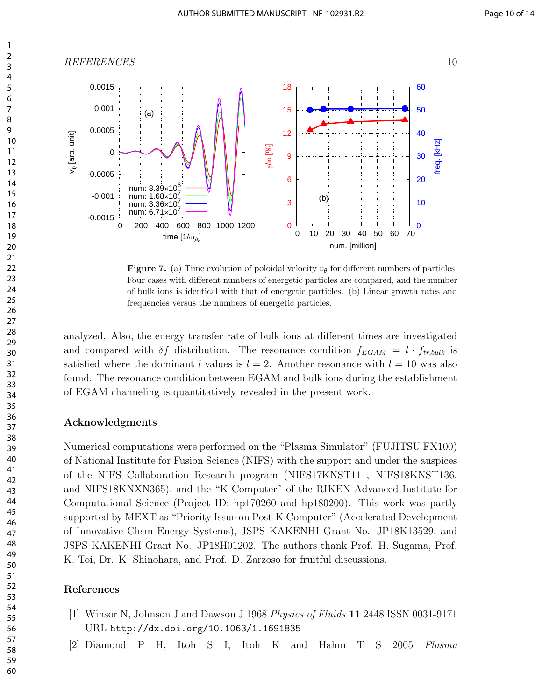

**Figure 7.** (a) Time evolution of poloidal velocity  $v_{\theta}$  for different numbers of particles. Four cases with different numbers of energetic particles are compared, and the number of bulk ions is identical with that of energetic particles. (b) Linear growth rates and frequencies versus the numbers of energetic particles.

analyzed. Also, the energy transfer rate of bulk ions at different times are investigated and compared with  $\delta f$  distribution. The resonance condition  $f_{EGAM} = l \cdot f_{tr,bulk}$  is satisfied where the dominant l values is  $l = 2$ . Another resonance with  $l = 10$  was also found. The resonance condition between EGAM and bulk ions during the establishment of EGAM channeling is quantitatively revealed in the present work.

#### Acknowledgments

Numerical computations were performed on the "Plasma Simulator" (FUJITSU FX100) of National Institute for Fusion Science (NIFS) with the support and under the auspices of the NIFS Collaboration Research program (NIFS17KNST111, NIFS18KNST136, and NIFS18KNXN365), and the "K Computer" of the RIKEN Advanced Institute for Computational Science (Project ID: hp170260 and hp180200). This work was partly supported by MEXT as "Priority Issue on Post-K Computer" (Accelerated Development of Innovative Clean Energy Systems), JSPS KAKENHI Grant No. JP18K13529, and JSPS KAKENHI Grant No. JP18H01202. The authors thank Prof. H. Sugama, Prof. K. Toi, Dr. K. Shinohara, and Prof. D. Zarzoso for fruitful discussions.

#### References

- [1] Winsor N, Johnson J and Dawson J 1968 Physics of Fluids 11 2448 ISSN 0031-9171 URL http://dx.doi.org/10.1063/1.1691835
- [2] Diamond P H, Itoh S I, Itoh K and Hahm T S 2005 Plasma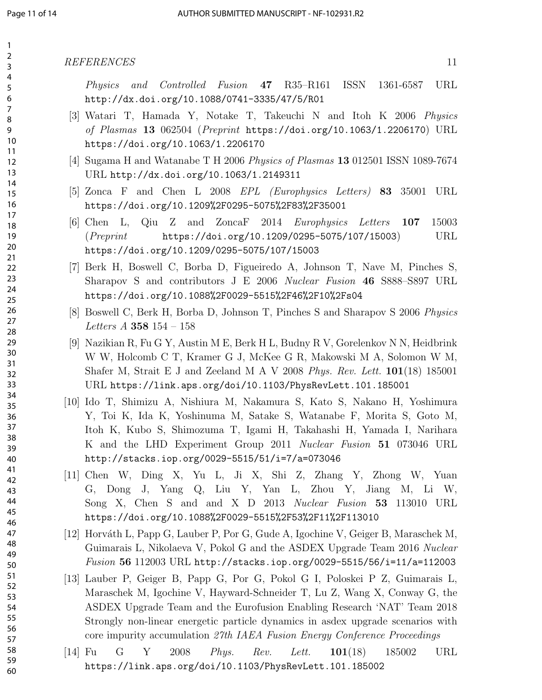Physics and Controlled Fusion 47 R35–R161 ISSN 1361-6587 URL http://dx.doi.org/10.1088/0741-3335/47/5/R01

- [3] Watari T, Hamada Y, Notake T, Takeuchi N and Itoh K 2006 Physics of Plasmas 13 062504 (Preprint https://doi.org/10.1063/1.2206170) URL https://doi.org/10.1063/1.2206170
- [4] Sugama H and Watanabe T H 2006 Physics of Plasmas 13 012501 ISSN 1089-7674 URL http://dx.doi.org/10.1063/1.2149311
- [5] Zonca F and Chen L 2008 EPL (Europhysics Letters) 83 35001 URL https://doi.org/10.1209%2F0295-5075%2F83%2F35001
- [6] Chen L, Qiu Z and ZoncaF 2014 Europhysics Letters 107 15003  $(Preprint$  https://doi.org/10.1209/0295-5075/107/15003) URL https://doi.org/10.1209/0295-5075/107/15003
- [7] Berk H, Boswell C, Borba D, Figueiredo A, Johnson T, Nave M, Pinches S, Sharapov S and contributors J E 2006 Nuclear Fusion 46 S888–S897 URL https://doi.org/10.1088%2F0029-5515%2F46%2F10%2Fs04
- [8] Boswell C, Berk H, Borba D, Johnson T, Pinches S and Sharapov S 2006 Physics Letters A 358 154 – 158
- [9] Nazikian R, Fu G Y, Austin M E, Berk H L, Budny R V, Gorelenkov N N, Heidbrink W W, Holcomb C T, Kramer G J, McKee G R, Makowski M A, Solomon W M, Shafer M, Strait E J and Zeeland M A V 2008 Phys. Rev. Lett.  $101(18)$  185001 URL https://link.aps.org/doi/10.1103/PhysRevLett.101.185001
- [10] Ido T, Shimizu A, Nishiura M, Nakamura S, Kato S, Nakano H, Yoshimura Y, Toi K, Ida K, Yoshinuma M, Satake S, Watanabe F, Morita S, Goto M, Itoh K, Kubo S, Shimozuma T, Igami H, Takahashi H, Yamada I, Narihara K and the LHD Experiment Group 2011 Nuclear Fusion 51 073046 URL http://stacks.iop.org/0029-5515/51/i=7/a=073046
- [11] Chen W, Ding X, Yu L, Ji X, Shi Z, Zhang Y, Zhong W, Yuan G, Dong J, Yang Q, Liu Y, Yan L, Zhou Y, Jiang M, Li W, Song X, Chen S and and X D 2013 Nuclear Fusion 53 113010 URL https://doi.org/10.1088%2F0029-5515%2F53%2F11%2F113010
- [12] Horváth L, Papp G, Lauber P, Por G, Gude A, Igochine V, Geiger B, Maraschek M, Guimarais L, Nikolaeva V, Pokol G and the ASDEX Upgrade Team 2016 Nuclear  $Fusion 56 112003 \text{ URL http://stacks.iop.org/0029-5515/56/i=11/a=112003$
- [13] Lauber P, Geiger B, Papp G, Por G, Pokol G I, Poloskei P Z, Guimarais L, Maraschek M, Igochine V, Hayward-Schneider T, Lu Z, Wang X, Conway G, the ASDEX Upgrade Team and the Eurofusion Enabling Research 'NAT' Team 2018 Strongly non-linear energetic particle dynamics in asdex upgrade scenarios with core impurity accumulation 27th IAEA Fusion Energy Conference Proceedings
- $[14]$  Fu G Y 2008 *Phys. Rev. Lett.*  $101(18)$  185002 URL https://link.aps.org/doi/10.1103/PhysRevLett.101.185002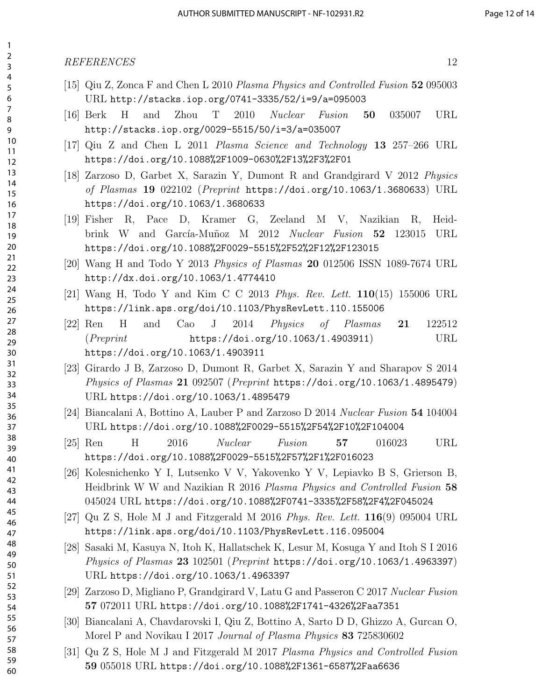#### REFERENCES 12

- [15] Qiu Z, Zonca F and Chen L 2010 Plasma Physics and Controlled Fusion 52 095003 URL http://stacks.iop.org/0741-3335/52/i=9/a=095003
- [16] Berk H and Zhou T 2010 Nuclear Fusion 50 035007 URL http://stacks.iop.org/0029-5515/50/i=3/a=035007
- [17] Qiu Z and Chen L 2011 Plasma Science and Technology 13 257–266 URL https://doi.org/10.1088%2F1009-0630%2F13%2F3%2F01
- [18] Zarzoso D, Garbet X, Sarazin Y, Dumont R and Grandgirard V 2012 Physics of Plasmas 19 022102 (Preprint https://doi.org/10.1063/1.3680633) URL https://doi.org/10.1063/1.3680633
- [19] Fisher R, Pace D, Kramer G, Zeeland M V, Nazikian R, Heidbrink W and García-Muñoz M 2012 Nuclear Fusion 52 123015 URL https://doi.org/10.1088%2F0029-5515%2F52%2F12%2F123015
- [20] Wang H and Todo Y 2013 Physics of Plasmas 20 012506 ISSN 1089-7674 URL http://dx.doi.org/10.1063/1.4774410
- [21] Wang H, Todo Y and Kim C C 2013 Phys. Rev. Lett. 110(15) 155006 URL https://link.aps.org/doi/10.1103/PhysRevLett.110.155006
- [22] Ren H and Cao J 2014 Physics of Plasmas 21 122512 (Preprint https://doi.org/10.1063/1.4903911) URL https://doi.org/10.1063/1.4903911
- [23] Girardo J B, Zarzoso D, Dumont R, Garbet X, Sarazin Y and Sharapov S 2014 Physics of Plasmas 21 092507 (Preprint https://doi.org/10.1063/1.4895479) URL https://doi.org/10.1063/1.4895479
- [24] Biancalani A, Bottino A, Lauber P and Zarzoso D 2014 Nuclear Fusion 54 104004 URL https://doi.org/10.1088%2F0029-5515%2F54%2F10%2F104004
- [25] Ren H 2016 *Nuclear Fusion* 57 016023 URL https://doi.org/10.1088%2F0029-5515%2F57%2F1%2F016023
- [26] Kolesnichenko Y I, Lutsenko V V, Yakovenko Y V, Lepiavko B S, Grierson B, Heidbrink W W and Nazikian R 2016 Plasma Physics and Controlled Fusion 58 045024 URL https://doi.org/10.1088%2F0741-3335%2F58%2F4%2F045024
- [27] Qu Z S, Hole M J and Fitzgerald M 2016 Phys. Rev. Lett.  $116(9)$  095004 URL https://link.aps.org/doi/10.1103/PhysRevLett.116.095004
- [28] Sasaki M, Kasuya N, Itoh K, Hallatschek K, Lesur M, Kosuga Y and Itoh S I 2016 Physics of Plasmas 23 102501 (Preprint https://doi.org/10.1063/1.4963397) URL https://doi.org/10.1063/1.4963397
- [29] Zarzoso D, Migliano P, Grandgirard V, Latu G and Passeron C 2017 Nuclear Fusion 072011 URL https://doi.org/10.1088%2F1741-4326%2Faa7351
- [30] Biancalani A, Chavdarovski I, Qiu Z, Bottino A, Sarto D D, Ghizzo A, Gurcan O, Morel P and Novikau I 2017 Journal of Plasma Physics 83 725830602
- [31] Qu Z S, Hole M J and Fitzgerald M 2017 Plasma Physics and Controlled Fusion 055018 URL https://doi.org/10.1088%2F1361-6587%2Faa6636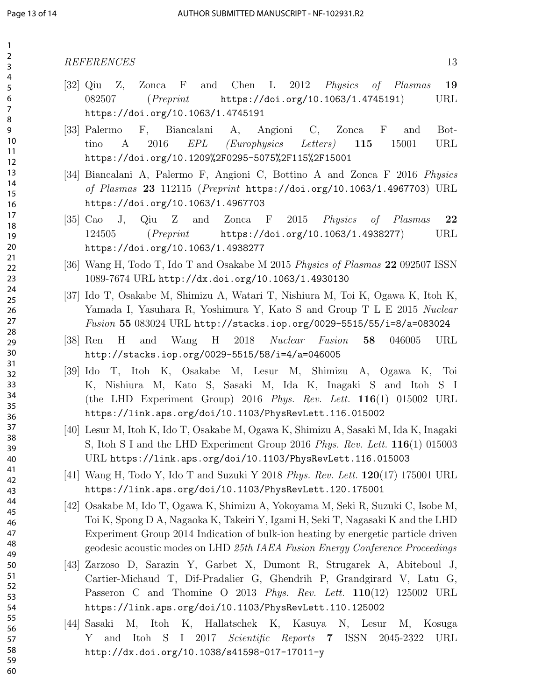- [32] Qiu Z, Zonca F and Chen L 2012 Physics of Plasmas 19 082507 (*Preprint* https://doi.org/10.1063/1.4745191) URL https://doi.org/10.1063/1.4745191
- [33] Palermo F, Biancalani A, Angioni C, Zonca F and Bottino A 2016  $EPL$  (Europhysics Letters) 115 15001 URL https://doi.org/10.1209%2F0295-5075%2F115%2F15001
- [34] Biancalani A, Palermo F, Angioni C, Bottino A and Zonca F 2016 Physics of Plasmas 23 112115 (Preprint https://doi.org/10.1063/1.4967703) URL https://doi.org/10.1063/1.4967703
- [35] Cao J, Qiu Z and Zonca F 2015 Physics of Plasmas 22 124505 (Preprint https://doi.org/10.1063/1.4938277) URL https://doi.org/10.1063/1.4938277
- [36] Wang H, Todo T, Ido T and Osakabe M 2015 Physics of Plasmas 22 092507 ISSN 1089-7674 URL http://dx.doi.org/10.1063/1.4930130
- [37] Ido T, Osakabe M, Shimizu A, Watari T, Nishiura M, Toi K, Ogawa K, Itoh K, Yamada I, Yasuhara R, Yoshimura Y, Kato S and Group T L E 2015 Nuclear Fusion 55 083024 URL http://stacks.iop.org/0029-5515/55/i=8/a=083024
- [38] Ren H and Wang H 2018 Nuclear Fusion 58 046005 URL http://stacks.iop.org/0029-5515/58/i=4/a=046005
- [39] Ido T, Itoh K, Osakabe M, Lesur M, Shimizu A, Ogawa K, Toi K, Nishiura M, Kato S, Sasaki M, Ida K, Inagaki S and Itoh S I (the LHD Experiment Group) 2016 Phys. Rev. Lett. 116(1) 015002 URL https://link.aps.org/doi/10.1103/PhysRevLett.116.015002
- [40] Lesur M, Itoh K, Ido T, Osakabe M, Ogawa K, Shimizu A, Sasaki M, Ida K, Inagaki S, Itoh S I and the LHD Experiment Group 2016 Phys. Rev. Lett.  $116(1)$  015003 URL https://link.aps.org/doi/10.1103/PhysRevLett.116.015003
- [41] Wang H, Todo Y, Ido T and Suzuki Y 2018 Phys. Rev. Lett. 120(17) 175001 URL https://link.aps.org/doi/10.1103/PhysRevLett.120.175001
- [42] Osakabe M, Ido T, Ogawa K, Shimizu A, Yokoyama M, Seki R, Suzuki C, Isobe M, Toi K, Spong D A, Nagaoka K, Takeiri Y, Igami H, Seki T, Nagasaki K and the LHD Experiment Group 2014 Indication of bulk-ion heating by energetic particle driven geodesic acoustic modes on LHD 25th IAEA Fusion Energy Conference Proceedings
- [43] Zarzoso D, Sarazin Y, Garbet X, Dumont R, Strugarek A, Abiteboul J, Cartier-Michaud T, Dif-Pradalier G, Ghendrih P, Grandgirard V, Latu G, Passeron C and Thomine O 2013 Phys. Rev. Lett. 110(12) 125002 URL https://link.aps.org/doi/10.1103/PhysRevLett.110.125002
- [44] Sasaki M, Itoh K, Hallatschek K, Kasuya N, Lesur M, Kosuga Y and Itoh S I 2017 Scientific Reports 7 ISSN 2045-2322 URL http://dx.doi.org/10.1038/s41598-017-17011-y